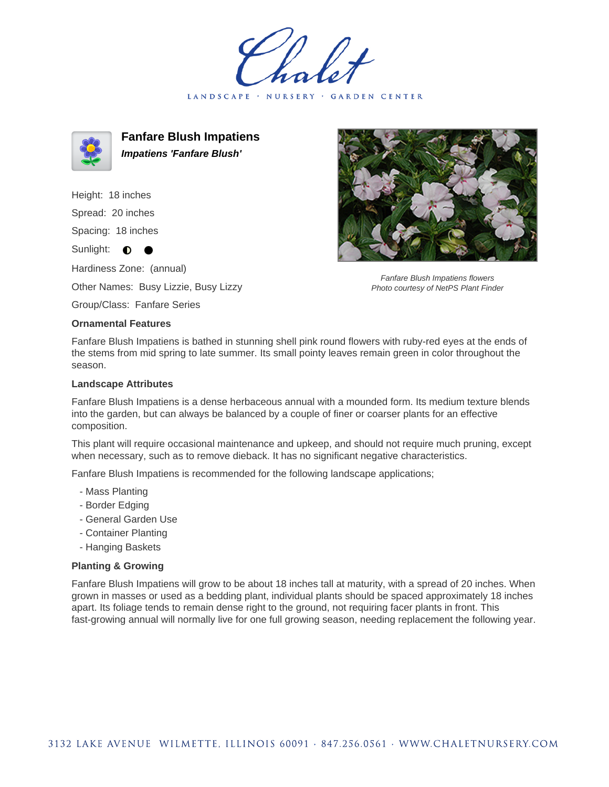LANDSCAPE · NURSERY · GARDEN CENTER



**Fanfare Blush Impatiens Impatiens 'Fanfare Blush'**

Height: 18 inches Spread: 20 inches Spacing: 18 inches Sunlight:  $\bullet$ Hardiness Zone: (annual)

Other Names: Busy Lizzie, Busy Lizzy

Group/Class: Fanfare Series

## **Ornamental Features**

Fanfare Blush Impatiens flowers Photo courtesy of NetPS Plant Finder

Fanfare Blush Impatiens is bathed in stunning shell pink round flowers with ruby-red eyes at the ends of the stems from mid spring to late summer. Its small pointy leaves remain green in color throughout the season.

## **Landscape Attributes**

Fanfare Blush Impatiens is a dense herbaceous annual with a mounded form. Its medium texture blends into the garden, but can always be balanced by a couple of finer or coarser plants for an effective composition.

This plant will require occasional maintenance and upkeep, and should not require much pruning, except when necessary, such as to remove dieback. It has no significant negative characteristics.

Fanfare Blush Impatiens is recommended for the following landscape applications;

- Mass Planting
- Border Edging
- General Garden Use
- Container Planting
- Hanging Baskets

## **Planting & Growing**

Fanfare Blush Impatiens will grow to be about 18 inches tall at maturity, with a spread of 20 inches. When grown in masses or used as a bedding plant, individual plants should be spaced approximately 18 inches apart. Its foliage tends to remain dense right to the ground, not requiring facer plants in front. This fast-growing annual will normally live for one full growing season, needing replacement the following year.